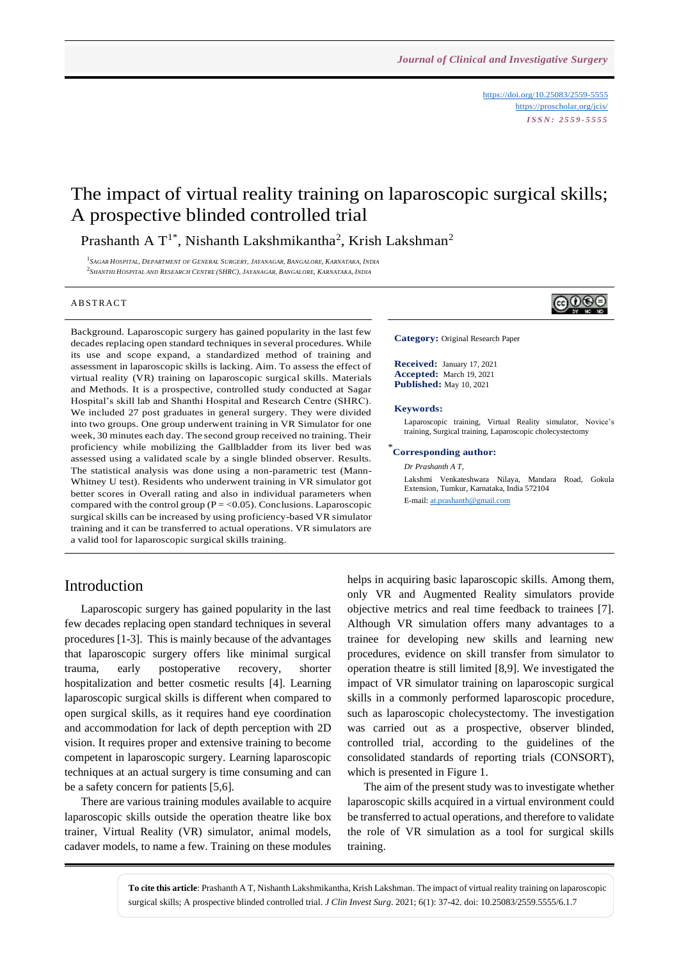<https://doi.org/10.25083/2559-5555> <https://proscholar.org/jcis/> *I S S N : 2 5 5 9 - 5 5 5 5*

⊚⊕⊕

# The impact of virtual reality training on laparoscopic surgical skills; A prospective blinded controlled trial

Prashanth A  $T^{1*}$ , Nishanth Lakshmikantha<sup>2</sup>, Krish Lakshman<sup>2</sup>

<sup>1</sup> Sagar Hospital, Department of General Surgery, Jayanagar, Bangalore, Karnataka, India <sup>2</sup>Shanthi Hospital and Research Centre (SHRC), Jayanagar, Bangalore, Karnataka, India

#### **ABSTRACT**

Background. Laparoscopic surgery has gained popularity in the last few decades replacing open standard techniques in several procedures. While its use and scope expand, a standardized method of training and assessment in laparoscopic skills is lacking. Aim. To assess the effect of virtual reality (VR) training on laparoscopic surgical skills. Materials and Methods. It is a prospective, controlled study conducted at Sagar Hospital's skill lab and Shanthi Hospital and Research Centre (SHRC). We included 27 post graduates in general surgery. They were divided into two groups. One group underwent training in VR Simulator for one week, 30 minutes each day. The second group received no training. Their proficiency while mobilizing the Gallbladder from its liver bed was assessed using a validated scale by a single blinded observer. Results. The statistical analysis was done using a non-parametric test (Mann-Whitney U test). Residents who underwent training in VR simulator got better scores in Overall rating and also in individual parameters when compared with the control group ( $P = < 0.05$ ). Conclusions. Laparoscopic surgical skills can be increased by using proficiency-based VR simulator training and it can be transferred to actual operations. VR simulators are a valid tool for laparoscopic surgical skills training.

### Introduction

Laparoscopic surgery has gained popularity in the last few decades replacing open standard techniques in several procedures [1-3]. This is mainly because of the advantages that laparoscopic surgery offers like minimal surgical trauma, early postoperative recovery, shorter hospitalization and better cosmetic results [4]. Learning laparoscopic surgical skills is different when compared to open surgical skills, as it requires hand eye coordination and accommodation for lack of depth perception with 2D vision. It requires proper and extensive training to become competent in laparoscopic surgery. Learning laparoscopic techniques at an actual surgery is time consuming and can be a safety concern for patients [5,6].

There are various training modules available to acquire laparoscopic skills outside the operation theatre like box trainer, Virtual Reality (VR) simulator, animal models, cadaver models, to name a few. Training on these modules **Category:** Original Research Paper

**Received:** January 17, 2021 **Accepted:** March 19, 2021 **Published:** May 10, 2021

#### **Keywords:**

Laparoscopic training, Virtual Reality simulator, Novice's training, Surgical training, Laparoscopic cholecystectomy

### \* **Corresponding author:**

*Dr Prashanth A T,*

Lakshmi Venkateshwara Nilaya, Mandara Road, Gokula Extension, Tumkur, Karnataka, India 572104 E-mail[: at.prashanth@gmail.com](mailto:at.prashanth@gmail.com)

helps in acquiring basic laparoscopic skills. Among them, only VR and Augmented Reality simulators provide objective metrics and real time feedback to trainees [7]. Although VR simulation offers many advantages to a trainee for developing new skills and learning new procedures, evidence on skill transfer from simulator to operation theatre is still limited [8,9]. We investigated the impact of VR simulator training on laparoscopic surgical skills in a commonly performed laparoscopic procedure, such as laparoscopic cholecystectomy. The investigation was carried out as a prospective, observer blinded, controlled trial, according to the guidelines of the consolidated standards of reporting trials (CONSORT), which is presented in Figure 1.

The aim of the present study was to investigate whether laparoscopic skills acquired in a virtual environment could be transferred to actual operations, and therefore to validate the role of VR simulation as a tool for surgical skills training.

**To cite this article**: Prashanth A T, Nishanth Lakshmikantha, Krish Lakshman. The impact of virtual reality training on laparoscopic surgical skills; A prospective blinded controlled trial. *J Clin Invest Surg*. 2021; 6(1): 37-42. doi: 10.25083/2559.5555/6.1.7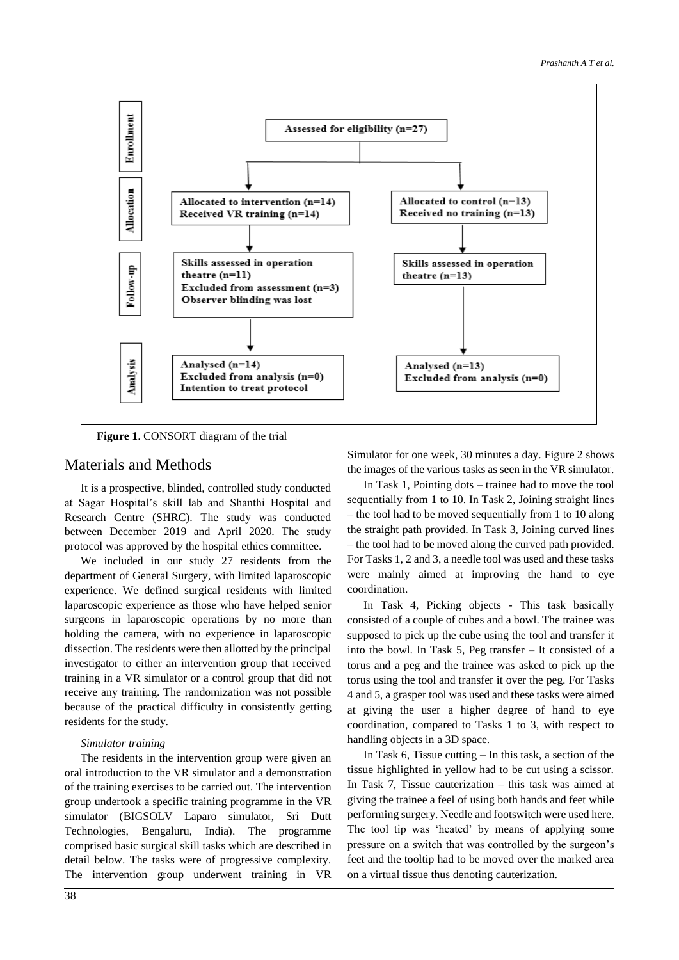

**Figure 1**. CONSORT diagram of the trial

### Materials and Methods

It is a prospective, blinded, controlled study conducted at Sagar Hospital's skill lab and Shanthi Hospital and Research Centre (SHRC). The study was conducted between December 2019 and April 2020. The study protocol was approved by the hospital ethics committee.

We included in our study 27 residents from the department of General Surgery, with limited laparoscopic experience. We defined surgical residents with limited laparoscopic experience as those who have helped senior surgeons in laparoscopic operations by no more than holding the camera, with no experience in laparoscopic dissection. The residents were then allotted by the principal investigator to either an intervention group that received training in a VR simulator or a control group that did not receive any training. The randomization was not possible because of the practical difficulty in consistently getting residents for the study.

### *Simulator training*

The residents in the intervention group were given an oral introduction to the VR simulator and a demonstration of the training exercises to be carried out. The intervention group undertook a specific training programme in the VR simulator (BIGSOLV Laparo simulator, Sri Dutt Technologies, Bengaluru, India). The programme comprised basic surgical skill tasks which are described in detail below. The tasks were of progressive complexity. The intervention group underwent training in VR Simulator for one week, 30 minutes a day. Figure 2 shows the images of the various tasks as seen in the VR simulator.

In Task 1, Pointing dots – trainee had to move the tool sequentially from 1 to 10. In Task 2, Joining straight lines – the tool had to be moved sequentially from 1 to 10 along the straight path provided. In Task 3, Joining curved lines – the tool had to be moved along the curved path provided. For Tasks 1, 2 and 3, a needle tool was used and these tasks were mainly aimed at improving the hand to eye coordination.

In Task 4, Picking objects - This task basically consisted of a couple of cubes and a bowl. The trainee was supposed to pick up the cube using the tool and transfer it into the bowl. In Task 5, Peg transfer – It consisted of a torus and a peg and the trainee was asked to pick up the torus using the tool and transfer it over the peg. For Tasks 4 and 5, a grasper tool was used and these tasks were aimed at giving the user a higher degree of hand to eye coordination, compared to Tasks 1 to 3, with respect to handling objects in a 3D space.

In Task 6, Tissue cutting – In this task, a section of the tissue highlighted in yellow had to be cut using a scissor. In Task 7, Tissue cauterization – this task was aimed at giving the trainee a feel of using both hands and feet while performing surgery. Needle and footswitch were used here. The tool tip was 'heated' by means of applying some pressure on a switch that was controlled by the surgeon's feet and the tooltip had to be moved over the marked area on a virtual tissue thus denoting cauterization.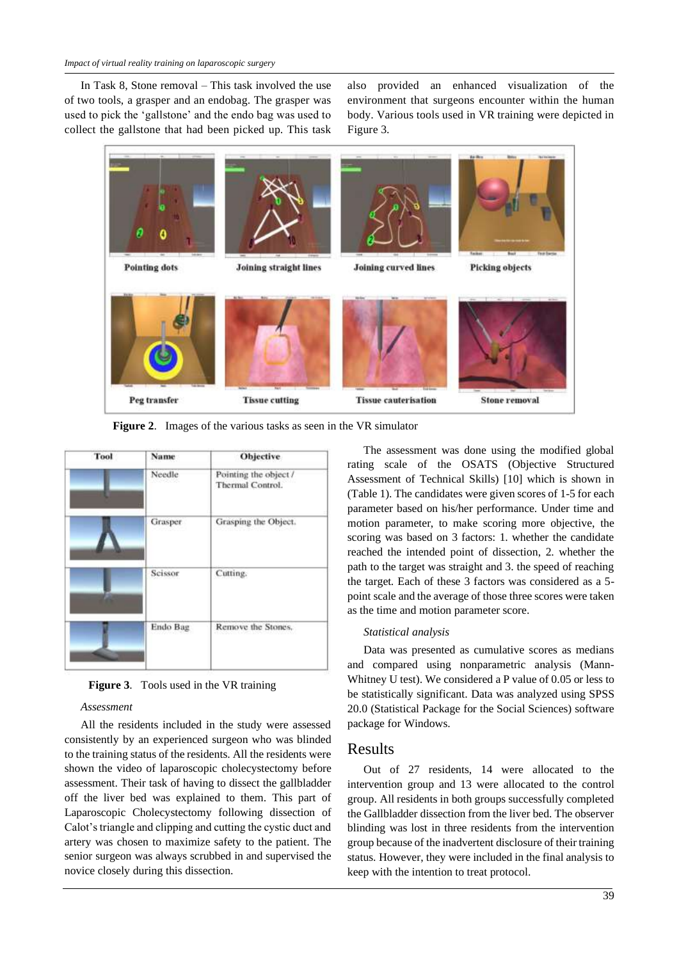In Task 8, Stone removal – This task involved the use of two tools, a grasper and an endobag. The grasper was used to pick the 'gallstone' and the endo bag was used to collect the gallstone that had been picked up. This task also provided an enhanced visualization of the environment that surgeons encounter within the human body. Various tools used in VR training were depicted in Figure 3.



**Figure 2**. Images of the various tasks as seen in the VR simulator

| Tool | <b>Name</b> | Objective                                 |  |
|------|-------------|-------------------------------------------|--|
|      | Needle      | Pointing the object /<br>Thermal Control. |  |
|      | Grasper     | Grasping the Object.                      |  |
|      | Scissor     | Cutting.                                  |  |
|      | Endo Bag    | Remove the Stones.                        |  |
|      |             |                                           |  |

**Figure 3**. Tools used in the VR training

### *Assessment*

All the residents included in the study were assessed consistently by an experienced surgeon who was blinded to the training status of the residents. All the residents were shown the video of laparoscopic cholecystectomy before assessment. Their task of having to dissect the gallbladder off the liver bed was explained to them. This part of Laparoscopic Cholecystectomy following dissection of Calot's triangle and clipping and cutting the cystic duct and artery was chosen to maximize safety to the patient. The senior surgeon was always scrubbed in and supervised the novice closely during this dissection.

The assessment was done using the modified global rating scale of the OSATS (Objective Structured Assessment of Technical Skills) [10] which is shown in (Table 1). The candidates were given scores of 1-5 for each parameter based on his/her performance. Under time and motion parameter, to make scoring more objective, the scoring was based on 3 factors: 1. whether the candidate reached the intended point of dissection, 2. whether the path to the target was straight and 3. the speed of reaching the target. Each of these 3 factors was considered as a 5 point scale and the average of those three scores were taken as the time and motion parameter score.

#### *Statistical analysis*

Data was presented as cumulative scores as medians and compared using nonparametric analysis (Mann-Whitney U test). We considered a P value of 0.05 or less to be statistically significant. Data was analyzed using SPSS 20.0 (Statistical Package for the Social Sciences) software package for Windows.

### Results

Out of 27 residents, 14 were allocated to the intervention group and 13 were allocated to the control group. All residents in both groups successfully completed the Gallbladder dissection from the liver bed. The observer blinding was lost in three residents from the intervention group because of the inadvertent disclosure of their training status. However, they were included in the final analysis to keep with the intention to treat protocol.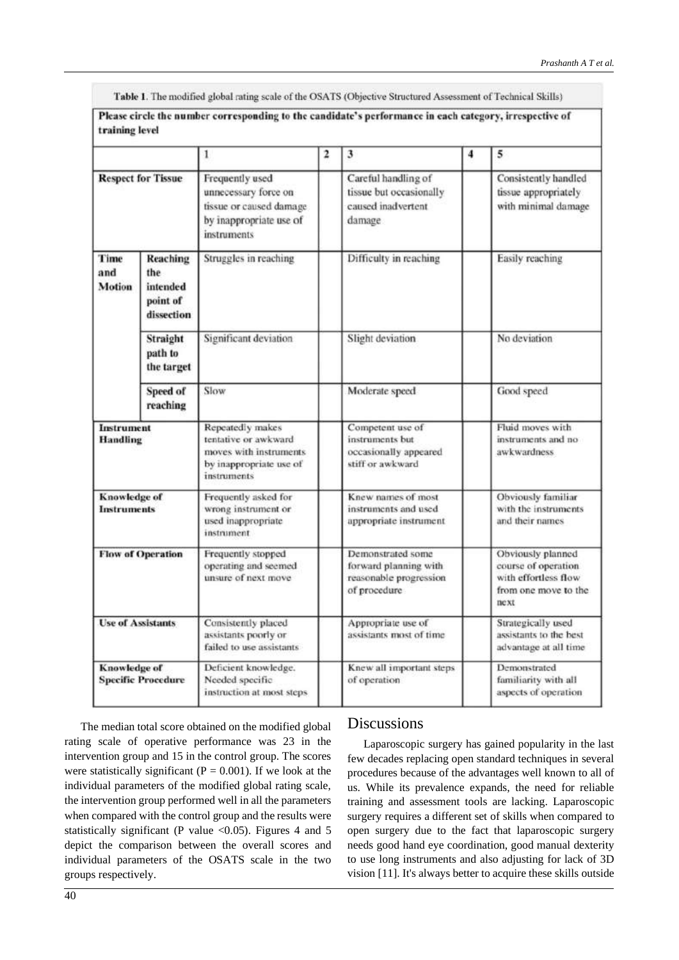Table 1. The modified global rating scale of the OSATS (Objective Structured Assessment of Technical Skills)

|                                           |                                                       |                                                                                                              | 2 | 3                                                                                    | 4 | 5                                                                                                |
|-------------------------------------------|-------------------------------------------------------|--------------------------------------------------------------------------------------------------------------|---|--------------------------------------------------------------------------------------|---|--------------------------------------------------------------------------------------------------|
| <b>Respect for Tissue</b>                 |                                                       | Frequently used<br>unnecessary force on<br>tissue or caused damage<br>by inappropriate use of<br>instruments |   | Careful handling of<br>tissue but occasionally<br>caused inadvertent<br>damage       |   | Consistently handled<br>tissue appropriately<br>with minimal damage                              |
| Time<br>and<br><b>Motion</b>              | Reaching<br>the<br>intended<br>point of<br>dissection | Struggles in reaching                                                                                        |   | Difficulty in reaching                                                               |   | Easily reaching                                                                                  |
|                                           | Straight<br>path to<br>the target                     | Significant deviation                                                                                        |   | Slight deviation                                                                     |   | No deviation                                                                                     |
|                                           | Speed of<br>reaching                                  | Slow                                                                                                         |   | Moderate speed                                                                       |   | Good speed                                                                                       |
| Instrument<br><b>Handling</b>             |                                                       | Repeatedly makes<br>tentative or awkward<br>moves with instruments<br>by inappropriate use of<br>instruments |   | Competent use of<br>instruments but<br>occasionally appeared<br>stiff or awkward     |   | Fluid moves with<br>instruments and no<br>awkwardness                                            |
| Knowledge of<br><b>Instruments</b>        |                                                       | Frequently asked for<br>wrong instrument or<br>used inappropriate<br>instrument                              |   | Knew names of most<br>instruments and used<br>appropriate instrument                 |   | Obviously familiar<br>with the instruments<br>and their names                                    |
| <b>Flow of Operation</b>                  |                                                       | Frequently stopped<br>operating and seemed<br>unsure of next move                                            |   | Demonstrated some<br>forward planning with<br>reasonable progression<br>of procedure |   | Obviously planned<br>course of operation<br>with effortless flow<br>from one move to the<br>next |
| <b>Use of Assistants</b>                  |                                                       | Consistently placed<br>assistants poorly or<br>failed to use assistants                                      |   | Appropriate use of<br>assistants most of time                                        |   | Strategically used<br>assistants to the best<br>advantage at all time                            |
| Knowledge of<br><b>Specific Procedure</b> |                                                       | Deficient knowledge.<br>Needed specific<br>instruction at most steps                                         |   | Knew all important steps<br>of operation                                             |   | Demonstrated<br>familiarity with all<br>aspects of operation                                     |

The median total score obtained on the modified global rating scale of operative performance was 23 in the intervention group and 15 in the control group. The scores were statistically significant ( $P = 0.001$ ). If we look at the individual parameters of the modified global rating scale, the intervention group performed well in all the parameters when compared with the control group and the results were statistically significant (P value <0.05). Figures 4 and 5 depict the comparison between the overall scores and individual parameters of the OSATS scale in the two groups respectively.

# **Discussions**

Laparoscopic surgery has gained popularity in the last few decades replacing open standard techniques in several procedures because of the advantages well known to all of us. While its prevalence expands, the need for reliable training and assessment tools are lacking. Laparoscopic surgery requires a different set of skills when compared to open surgery due to the fact that laparoscopic surgery needs good hand eye coordination, good manual dexterity to use long instruments and also adjusting for lack of 3D vision [11]. It's always better to acquire these skills outside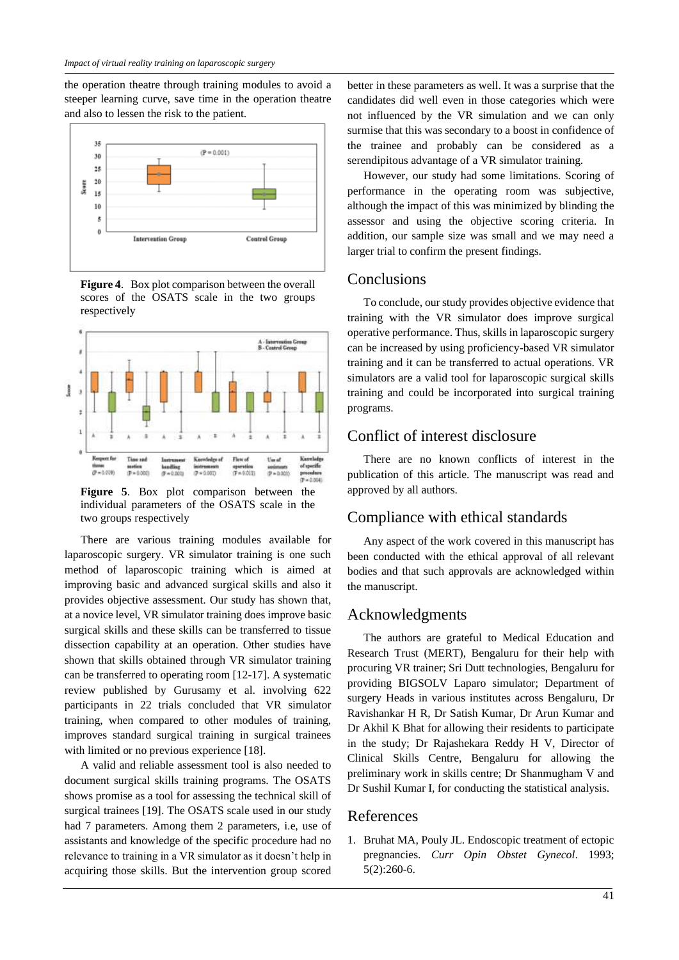the operation theatre through training modules to avoid a steeper learning curve, save time in the operation theatre and also to lessen the risk to the patient.



**Figure 4**. Box plot comparison between the overall scores of the OSATS scale in the two groups respectively



**Figure 5**. Box plot comparison between the individual parameters of the OSATS scale in the two groups respectively

There are various training modules available for laparoscopic surgery. VR simulator training is one such method of laparoscopic training which is aimed at improving basic and advanced surgical skills and also it provides objective assessment. Our study has shown that, at a novice level, VR simulator training does improve basic surgical skills and these skills can be transferred to tissue dissection capability at an operation. Other studies have shown that skills obtained through VR simulator training can be transferred to operating room [12-17]. A systematic review published by Gurusamy et al. involving 622 participants in 22 trials concluded that VR simulator training, when compared to other modules of training, improves standard surgical training in surgical trainees with limited or no previous experience [18].

A valid and reliable assessment tool is also needed to document surgical skills training programs. The OSATS shows promise as a tool for assessing the technical skill of surgical trainees [19]. The OSATS scale used in our study had 7 parameters. Among them 2 parameters, i.e, use of assistants and knowledge of the specific procedure had no relevance to training in a VR simulator as it doesn't help in acquiring those skills. But the intervention group scored better in these parameters as well. It was a surprise that the candidates did well even in those categories which were not influenced by the VR simulation and we can only surmise that this was secondary to a boost in confidence of the trainee and probably can be considered as a serendipitous advantage of a VR simulator training.

However, our study had some limitations. Scoring of performance in the operating room was subjective, although the impact of this was minimized by blinding the assessor and using the objective scoring criteria. In addition, our sample size was small and we may need a larger trial to confirm the present findings.

### Conclusions

To conclude, our study provides objective evidence that training with the VR simulator does improve surgical operative performance. Thus, skills in laparoscopic surgery can be increased by using proficiency-based VR simulator training and it can be transferred to actual operations. VR simulators are a valid tool for laparoscopic surgical skills training and could be incorporated into surgical training programs.

### Conflict of interest disclosure

There are no known conflicts of interest in the publication of this article. The manuscript was read and approved by all authors.

# Compliance with ethical standards

Any aspect of the work covered in this manuscript has been conducted with the ethical approval of all relevant bodies and that such approvals are acknowledged within the manuscript.

# Acknowledgments

The authors are grateful to Medical Education and Research Trust (MERT), Bengaluru for their help with procuring VR trainer; Sri Dutt technologies, Bengaluru for providing BIGSOLV Laparo simulator; Department of surgery Heads in various institutes across Bengaluru, Dr Ravishankar H R, Dr Satish Kumar, Dr Arun Kumar and Dr Akhil K Bhat for allowing their residents to participate in the study; Dr Rajashekara Reddy H V, Director of Clinical Skills Centre, Bengaluru for allowing the preliminary work in skills centre; Dr Shanmugham V and Dr Sushil Kumar I, for conducting the statistical analysis.

### References

1. Bruhat MA, Pouly JL. Endoscopic treatment of ectopic pregnancies. *Curr Opin Obstet Gynecol*. 1993; 5(2):260-6.